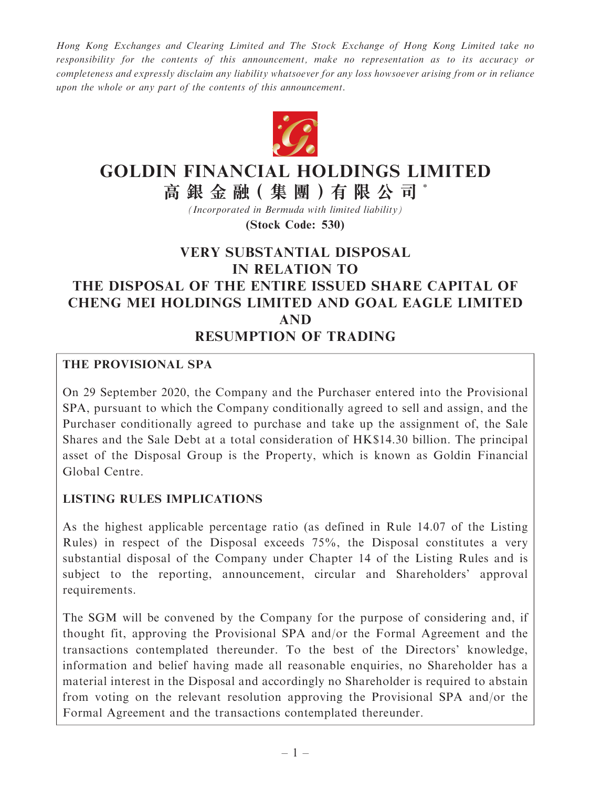Hong Kong Exchanges and Clearing Limited and The Stock Exchange of Hong Kong Limited take no responsibility for the contents of this announcement, make no representation as to its accuracy or completeness and expressly disclaim any liability whatsoever for any loss howsoever arising from or in reliance upon the whole or any part of the contents of this announcement.



# GOLDIN FINANCIAL HOLDINGS LIMITED

高銀金融(集團)有限公司\*

(Incorporated in Bermuda with limited liability) (Stock Code: 530)

## VERY SUBSTANTIAL DISPOSAL IN RELATION TO THE DISPOSAL OF THE ENTIRE ISSUED SHARE CAPITAL OF CHENG MEI HOLDINGS LIMITED AND GOAL EAGLE LIMITED AND RESUMPTION OF TRADING

#### THE PROVISIONAL SPA

On 29 September 2020, the Company and the Purchaser entered into the Provisional SPA, pursuant to which the Company conditionally agreed to sell and assign, and the Purchaser conditionally agreed to purchase and take up the assignment of, the Sale Shares and the Sale Debt at a total consideration of HK\$14.30 billion. The principal asset of the Disposal Group is the Property, which is known as Goldin Financial Global Centre.

## LISTING RULES IMPLICATIONS

As the highest applicable percentage ratio (as defined in Rule 14.07 of the Listing Rules) in respect of the Disposal exceeds 75%, the Disposal constitutes a very substantial disposal of the Company under Chapter 14 of the Listing Rules and is subject to the reporting, announcement, circular and Shareholders' approval requirements.

The SGM will be convened by the Company for the purpose of considering and, if thought fit, approving the Provisional SPA and/or the Formal Agreement and the transactions contemplated thereunder. To the best of the Directors' knowledge, information and belief having made all reasonable enquiries, no Shareholder has a material interest in the Disposal and accordingly no Shareholder is required to abstain from voting on the relevant resolution approving the Provisional SPA and/or the Formal Agreement and the transactions contemplated thereunder.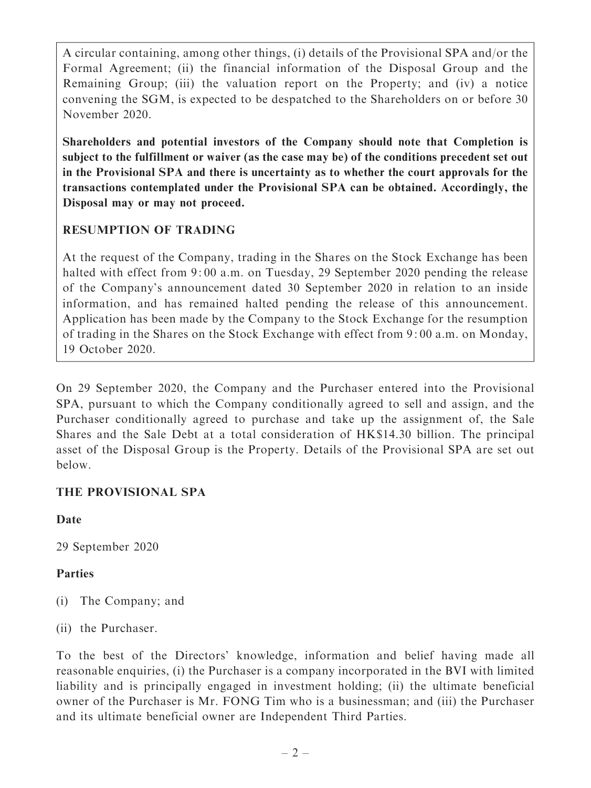A circular containing, among other things, (i) details of the Provisional SPA and/or the Formal Agreement; (ii) the financial information of the Disposal Group and the Remaining Group; (iii) the valuation report on the Property; and (iv) a notice convening the SGM, is expected to be despatched to the Shareholders on or before 30 November 2020.

Shareholders and potential investors of the Company should note that Completion is subject to the fulfillment or waiver (as the case may be) of the conditions precedent set out in the Provisional SPA and there is uncertainty as to whether the court approvals for the transactions contemplated under the Provisional SPA can be obtained. Accordingly, the Disposal may or may not proceed.

## RESUMPTION OF TRADING

At the request of the Company, trading in the Shares on the Stock Exchange has been halted with effect from 9:00 a.m. on Tuesday, 29 September 2020 pending the release of the Company's announcement dated 30 September 2020 in relation to an inside information, and has remained halted pending the release of this announcement. Application has been made by the Company to the Stock Exchange for the resumption of trading in the Shares on the Stock Exchange with effect from 9: 00 a.m. on Monday, 19 October 2020.

On 29 September 2020, the Company and the Purchaser entered into the Provisional SPA, pursuant to which the Company conditionally agreed to sell and assign, and the Purchaser conditionally agreed to purchase and take up the assignment of, the Sale Shares and the Sale Debt at a total consideration of HK\$14.30 billion. The principal asset of the Disposal Group is the Property. Details of the Provisional SPA are set out below.

## THE PROVISIONAL SPA

Date

29 September 2020

## Parties

- (i) The Company; and
- (ii) the Purchaser.

To the best of the Directors' knowledge, information and belief having made all reasonable enquiries, (i) the Purchaser is a company incorporated in the BVI with limited liability and is principally engaged in investment holding; (ii) the ultimate beneficial owner of the Purchaser is Mr. FONG Tim who is a businessman; and (iii) the Purchaser and its ultimate beneficial owner are Independent Third Parties.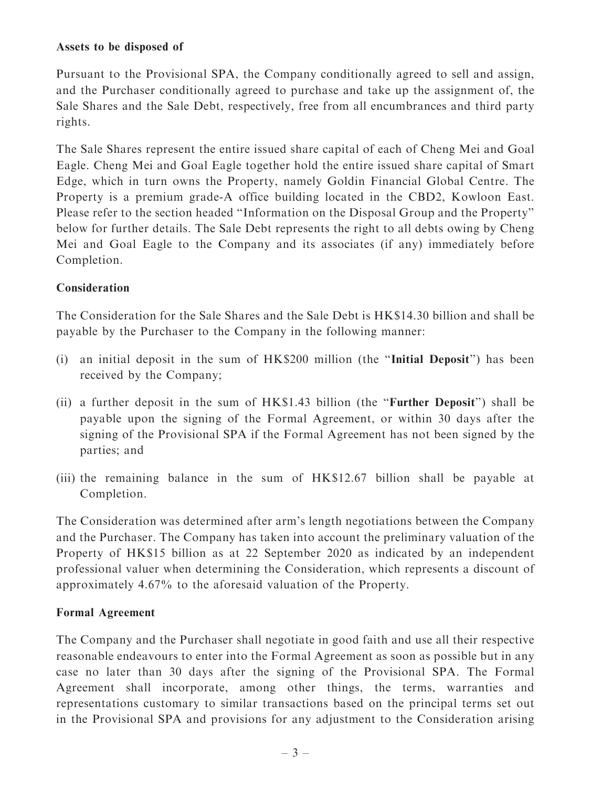#### Assets to be disposed of

Pursuant to the Provisional SPA, the Company conditionally agreed to sell and assign, and the Purchaser conditionally agreed to purchase and take up the assignment of, the Sale Shares and the Sale Debt, respectively, free from all encumbrances and third party rights.

The Sale Shares represent the entire issued share capital of each of Cheng Mei and Goal Eagle. Cheng Mei and Goal Eagle together hold the entire issued share capital of Smart Edge, which in turn owns the Property, namely Goldin Financial Global Centre. The Property is a premium grade-A office building located in the CBD2, Kowloon East. Please refer to the section headed ''Information on the Disposal Group and the Property'' below for further details. The Sale Debt represents the right to all debts owing by Cheng Mei and Goal Eagle to the Company and its associates (if any) immediately before Completion.

#### **Consideration**

The Consideration for the Sale Shares and the Sale Debt is HK\$14.30 billion and shall be payable by the Purchaser to the Company in the following manner:

- (i) an initial deposit in the sum of HK\$200 million (the ''Initial Deposit'') has been received by the Company;
- (ii) a further deposit in the sum of HK\$1.43 billion (the ''Further Deposit'') shall be payable upon the signing of the Formal Agreement, or within 30 days after the signing of the Provisional SPA if the Formal Agreement has not been signed by the parties; and
- (iii) the remaining balance in the sum of HK\$12.67 billion shall be payable at Completion.

The Consideration was determined after arm's length negotiations between the Company and the Purchaser. The Company has taken into account the preliminary valuation of the Property of HK\$15 billion as at 22 September 2020 as indicated by an independent professional valuer when determining the Consideration, which represents a discount of approximately 4.67% to the aforesaid valuation of the Property.

#### Formal Agreement

The Company and the Purchaser shall negotiate in good faith and use all their respective reasonable endeavours to enter into the Formal Agreement as soon as possible but in any case no later than 30 days after the signing of the Provisional SPA. The Formal Agreement shall incorporate, among other things, the terms, warranties and representations customary to similar transactions based on the principal terms set out in the Provisional SPA and provisions for any adjustment to the Consideration arising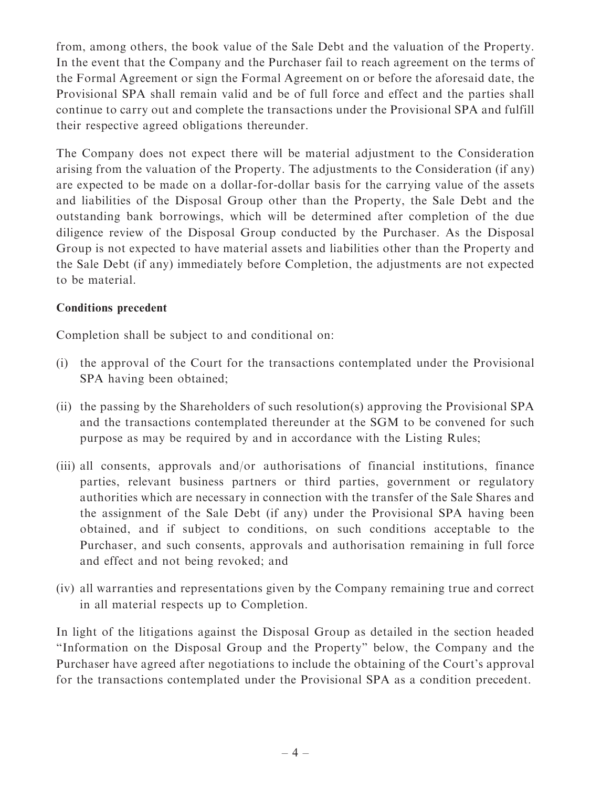from, among others, the book value of the Sale Debt and the valuation of the Property. In the event that the Company and the Purchaser fail to reach agreement on the terms of the Formal Agreement or sign the Formal Agreement on or before the aforesaid date, the Provisional SPA shall remain valid and be of full force and effect and the parties shall continue to carry out and complete the transactions under the Provisional SPA and fulfill their respective agreed obligations thereunder.

The Company does not expect there will be material adjustment to the Consideration arising from the valuation of the Property. The adjustments to the Consideration (if any) are expected to be made on a dollar-for-dollar basis for the carrying value of the assets and liabilities of the Disposal Group other than the Property, the Sale Debt and the outstanding bank borrowings, which will be determined after completion of the due diligence review of the Disposal Group conducted by the Purchaser. As the Disposal Group is not expected to have material assets and liabilities other than the Property and the Sale Debt (if any) immediately before Completion, the adjustments are not expected to be material.

## Conditions precedent

Completion shall be subject to and conditional on:

- (i) the approval of the Court for the transactions contemplated under the Provisional SPA having been obtained;
- (ii) the passing by the Shareholders of such resolution(s) approving the Provisional SPA and the transactions contemplated thereunder at the SGM to be convened for such purpose as may be required by and in accordance with the Listing Rules;
- (iii) all consents, approvals and/or authorisations of financial institutions, finance parties, relevant business partners or third parties, government or regulatory authorities which are necessary in connection with the transfer of the Sale Shares and the assignment of the Sale Debt (if any) under the Provisional SPA having been obtained, and if subject to conditions, on such conditions acceptable to the Purchaser, and such consents, approvals and authorisation remaining in full force and effect and not being revoked; and
- (iv) all warranties and representations given by the Company remaining true and correct in all material respects up to Completion.

In light of the litigations against the Disposal Group as detailed in the section headed ''Information on the Disposal Group and the Property'' below, the Company and the Purchaser have agreed after negotiations to include the obtaining of the Court's approval for the transactions contemplated under the Provisional SPA as a condition precedent.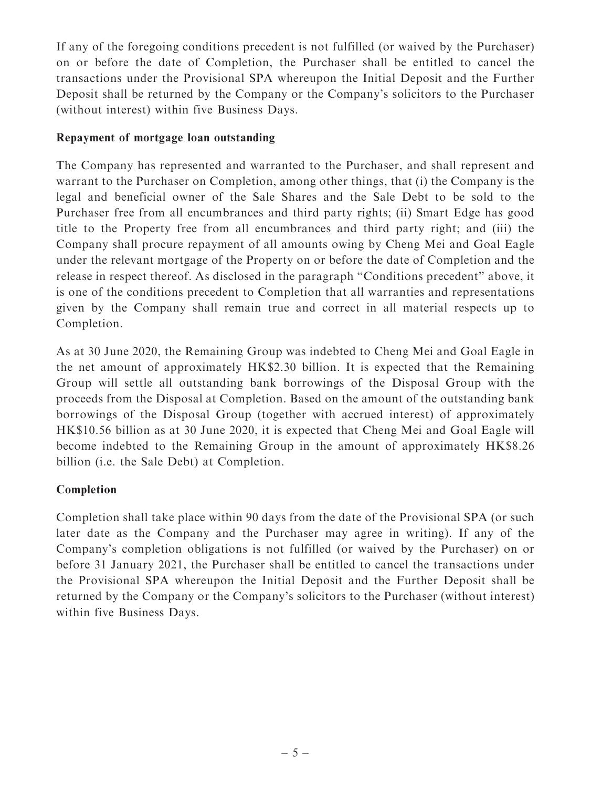If any of the foregoing conditions precedent is not fulfilled (or waived by the Purchaser) on or before the date of Completion, the Purchaser shall be entitled to cancel the transactions under the Provisional SPA whereupon the Initial Deposit and the Further Deposit shall be returned by the Company or the Company's solicitors to the Purchaser (without interest) within five Business Days.

## Repayment of mortgage loan outstanding

The Company has represented and warranted to the Purchaser, and shall represent and warrant to the Purchaser on Completion, among other things, that (i) the Company is the legal and beneficial owner of the Sale Shares and the Sale Debt to be sold to the Purchaser free from all encumbrances and third party rights; (ii) Smart Edge has good title to the Property free from all encumbrances and third party right; and (iii) the Company shall procure repayment of all amounts owing by Cheng Mei and Goal Eagle under the relevant mortgage of the Property on or before the date of Completion and the release in respect thereof. As disclosed in the paragraph ''Conditions precedent'' above, it is one of the conditions precedent to Completion that all warranties and representations given by the Company shall remain true and correct in all material respects up to Completion.

As at 30 June 2020, the Remaining Group was indebted to Cheng Mei and Goal Eagle in the net amount of approximately HK\$2.30 billion. It is expected that the Remaining Group will settle all outstanding bank borrowings of the Disposal Group with the proceeds from the Disposal at Completion. Based on the amount of the outstanding bank borrowings of the Disposal Group (together with accrued interest) of approximately HK\$10.56 billion as at 30 June 2020, it is expected that Cheng Mei and Goal Eagle will become indebted to the Remaining Group in the amount of approximately HK\$8.26 billion (i.e. the Sale Debt) at Completion.

## Completion

Completion shall take place within 90 days from the date of the Provisional SPA (or such later date as the Company and the Purchaser may agree in writing). If any of the Company's completion obligations is not fulfilled (or waived by the Purchaser) on or before 31 January 2021, the Purchaser shall be entitled to cancel the transactions under the Provisional SPA whereupon the Initial Deposit and the Further Deposit shall be returned by the Company or the Company's solicitors to the Purchaser (without interest) within five Business Days.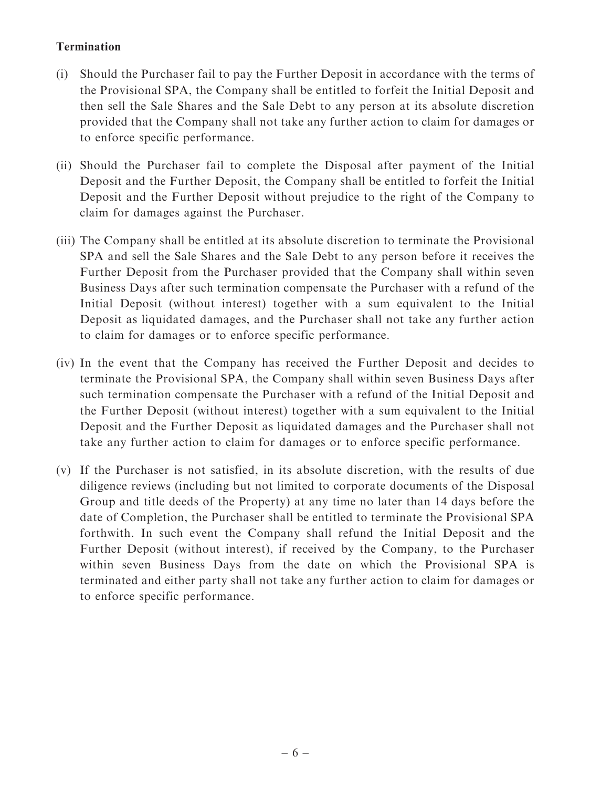## Termination

- (i) Should the Purchaser fail to pay the Further Deposit in accordance with the terms of the Provisional SPA, the Company shall be entitled to forfeit the Initial Deposit and then sell the Sale Shares and the Sale Debt to any person at its absolute discretion provided that the Company shall not take any further action to claim for damages or to enforce specific performance.
- (ii) Should the Purchaser fail to complete the Disposal after payment of the Initial Deposit and the Further Deposit, the Company shall be entitled to forfeit the Initial Deposit and the Further Deposit without prejudice to the right of the Company to claim for damages against the Purchaser.
- (iii) The Company shall be entitled at its absolute discretion to terminate the Provisional SPA and sell the Sale Shares and the Sale Debt to any person before it receives the Further Deposit from the Purchaser provided that the Company shall within seven Business Days after such termination compensate the Purchaser with a refund of the Initial Deposit (without interest) together with a sum equivalent to the Initial Deposit as liquidated damages, and the Purchaser shall not take any further action to claim for damages or to enforce specific performance.
- (iv) In the event that the Company has received the Further Deposit and decides to terminate the Provisional SPA, the Company shall within seven Business Days after such termination compensate the Purchaser with a refund of the Initial Deposit and the Further Deposit (without interest) together with a sum equivalent to the Initial Deposit and the Further Deposit as liquidated damages and the Purchaser shall not take any further action to claim for damages or to enforce specific performance.
- (v) If the Purchaser is not satisfied, in its absolute discretion, with the results of due diligence reviews (including but not limited to corporate documents of the Disposal Group and title deeds of the Property) at any time no later than 14 days before the date of Completion, the Purchaser shall be entitled to terminate the Provisional SPA forthwith. In such event the Company shall refund the Initial Deposit and the Further Deposit (without interest), if received by the Company, to the Purchaser within seven Business Days from the date on which the Provisional SPA is terminated and either party shall not take any further action to claim for damages or to enforce specific performance.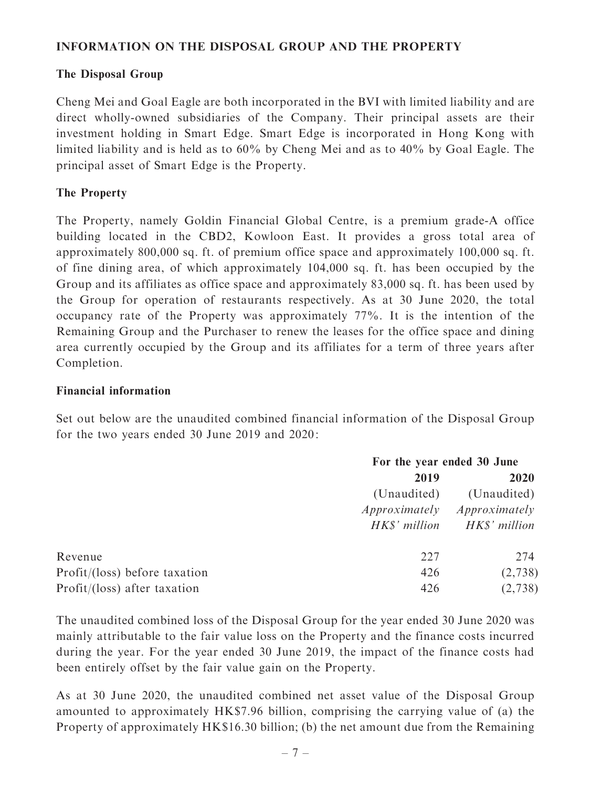#### INFORMATION ON THE DISPOSAL GROUP AND THE PROPERTY

#### The Disposal Group

Cheng Mei and Goal Eagle are both incorporated in the BVI with limited liability and are direct wholly-owned subsidiaries of the Company. Their principal assets are their investment holding in Smart Edge. Smart Edge is incorporated in Hong Kong with limited liability and is held as to 60% by Cheng Mei and as to 40% by Goal Eagle. The principal asset of Smart Edge is the Property.

#### The Property

The Property, namely Goldin Financial Global Centre, is a premium grade-A office building located in the CBD2, Kowloon East. It provides a gross total area of approximately 800,000 sq. ft. of premium office space and approximately 100,000 sq. ft. of fine dining area, of which approximately 104,000 sq. ft. has been occupied by the Group and its affiliates as office space and approximately 83,000 sq. ft. has been used by the Group for operation of restaurants respectively. As at 30 June 2020, the total occupancy rate of the Property was approximately 77%. It is the intention of the Remaining Group and the Purchaser to renew the leases for the office space and dining area currently occupied by the Group and its affiliates for a term of three years after Completion.

#### Financial information

Set out below are the unaudited combined financial information of the Disposal Group for the two years ended 30 June 2019 and 2020:

|                                | For the year ended 30 June |               |
|--------------------------------|----------------------------|---------------|
|                                | 2019                       | <b>2020</b>   |
|                                | (Unaudited)                | (Unaudited)   |
|                                | Approximately              | Approximately |
|                                | HK\$' million              | HK\$' million |
| Revenue                        | 227                        | 274           |
| Profit/ (loss) before taxation | 426                        | (2,738)       |
| Profit/(loss) after taxation   | 426                        | (2,738)       |

The unaudited combined loss of the Disposal Group for the year ended 30 June 2020 was mainly attributable to the fair value loss on the Property and the finance costs incurred during the year. For the year ended 30 June 2019, the impact of the finance costs had been entirely offset by the fair value gain on the Property.

As at 30 June 2020, the unaudited combined net asset value of the Disposal Group amounted to approximately HK\$7.96 billion, comprising the carrying value of (a) the Property of approximately HK\$16.30 billion; (b) the net amount due from the Remaining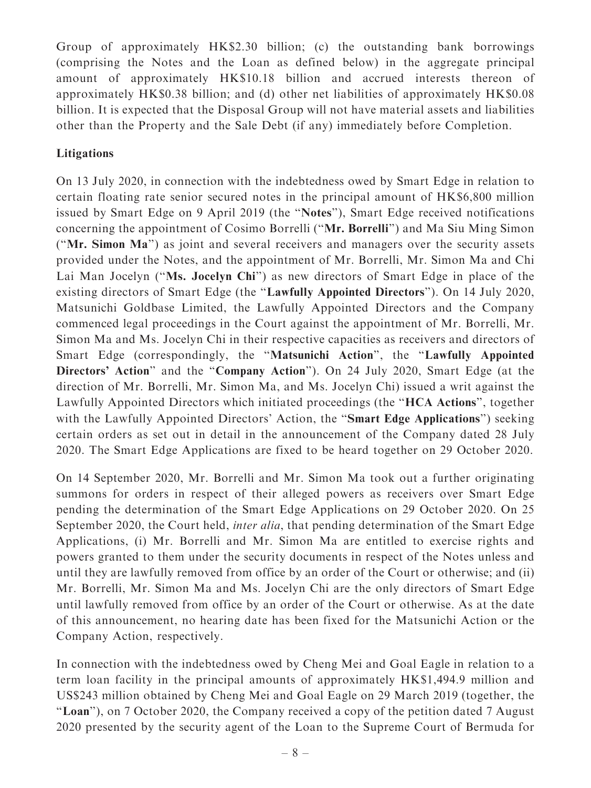Group of approximately HK\$2.30 billion; (c) the outstanding bank borrowings (comprising the Notes and the Loan as defined below) in the aggregate principal amount of approximately HK\$10.18 billion and accrued interests thereon of approximately HK\$0.38 billion; and (d) other net liabilities of approximately HK\$0.08 billion. It is expected that the Disposal Group will not have material assets and liabilities other than the Property and the Sale Debt (if any) immediately before Completion.

## Litigations

On 13 July 2020, in connection with the indebtedness owed by Smart Edge in relation to certain floating rate senior secured notes in the principal amount of HK\$6,800 million issued by Smart Edge on 9 April 2019 (the ''Notes''), Smart Edge received notifications concerning the appointment of Cosimo Borrelli (''Mr. Borrelli'') and Ma Siu Ming Simon (''Mr. Simon Ma'') as joint and several receivers and managers over the security assets provided under the Notes, and the appointment of Mr. Borrelli, Mr. Simon Ma and Chi Lai Man Jocelyn (''Ms. Jocelyn Chi'') as new directors of Smart Edge in place of the existing directors of Smart Edge (the "Lawfully Appointed Directors"). On 14 July 2020, Matsunichi Goldbase Limited, the Lawfully Appointed Directors and the Company commenced legal proceedings in the Court against the appointment of Mr. Borrelli, Mr. Simon Ma and Ms. Jocelyn Chi in their respective capacities as receivers and directors of Smart Edge (correspondingly, the ''Matsunichi Action'', the ''Lawfully Appointed Directors' Action" and the "Company Action"). On 24 July 2020, Smart Edge (at the direction of Mr. Borrelli, Mr. Simon Ma, and Ms. Jocelyn Chi) issued a writ against the Lawfully Appointed Directors which initiated proceedings (the ''HCA Actions'', together with the Lawfully Appointed Directors' Action, the "Smart Edge Applications") seeking certain orders as set out in detail in the announcement of the Company dated 28 July 2020. The Smart Edge Applications are fixed to be heard together on 29 October 2020.

On 14 September 2020, Mr. Borrelli and Mr. Simon Ma took out a further originating summons for orders in respect of their alleged powers as receivers over Smart Edge pending the determination of the Smart Edge Applications on 29 October 2020. On 25 September 2020, the Court held, *inter alia*, that pending determination of the Smart Edge Applications, (i) Mr. Borrelli and Mr. Simon Ma are entitled to exercise rights and powers granted to them under the security documents in respect of the Notes unless and until they are lawfully removed from office by an order of the Court or otherwise; and (ii) Mr. Borrelli, Mr. Simon Ma and Ms. Jocelyn Chi are the only directors of Smart Edge until lawfully removed from office by an order of the Court or otherwise. As at the date of this announcement, no hearing date has been fixed for the Matsunichi Action or the Company Action, respectively.

In connection with the indebtedness owed by Cheng Mei and Goal Eagle in relation to a term loan facility in the principal amounts of approximately HK\$1,494.9 million and US\$243 million obtained by Cheng Mei and Goal Eagle on 29 March 2019 (together, the "Loan"), on 7 October 2020, the Company received a copy of the petition dated 7 August 2020 presented by the security agent of the Loan to the Supreme Court of Bermuda for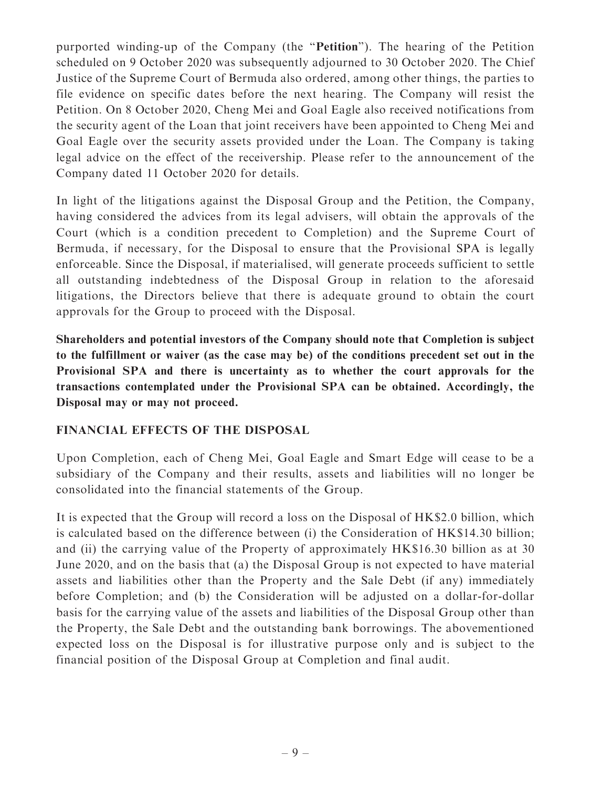purported winding-up of the Company (the ''Petition''). The hearing of the Petition scheduled on 9 October 2020 was subsequently adjourned to 30 October 2020. The Chief Justice of the Supreme Court of Bermuda also ordered, among other things, the parties to file evidence on specific dates before the next hearing. The Company will resist the Petition. On 8 October 2020, Cheng Mei and Goal Eagle also received notifications from the security agent of the Loan that joint receivers have been appointed to Cheng Mei and Goal Eagle over the security assets provided under the Loan. The Company is taking legal advice on the effect of the receivership. Please refer to the announcement of the Company dated 11 October 2020 for details.

In light of the litigations against the Disposal Group and the Petition, the Company, having considered the advices from its legal advisers, will obtain the approvals of the Court (which is a condition precedent to Completion) and the Supreme Court of Bermuda, if necessary, for the Disposal to ensure that the Provisional SPA is legally enforceable. Since the Disposal, if materialised, will generate proceeds sufficient to settle all outstanding indebtedness of the Disposal Group in relation to the aforesaid litigations, the Directors believe that there is adequate ground to obtain the court approvals for the Group to proceed with the Disposal.

Shareholders and potential investors of the Company should note that Completion is subject to the fulfillment or waiver (as the case may be) of the conditions precedent set out in the Provisional SPA and there is uncertainty as to whether the court approvals for the transactions contemplated under the Provisional SPA can be obtained. Accordingly, the Disposal may or may not proceed.

## FINANCIAL EFFECTS OF THE DISPOSAL

Upon Completion, each of Cheng Mei, Goal Eagle and Smart Edge will cease to be a subsidiary of the Company and their results, assets and liabilities will no longer be consolidated into the financial statements of the Group.

It is expected that the Group will record a loss on the Disposal of HK\$2.0 billion, which is calculated based on the difference between (i) the Consideration of HK\$14.30 billion; and (ii) the carrying value of the Property of approximately HK\$16.30 billion as at 30 June 2020, and on the basis that (a) the Disposal Group is not expected to have material assets and liabilities other than the Property and the Sale Debt (if any) immediately before Completion; and (b) the Consideration will be adjusted on a dollar-for-dollar basis for the carrying value of the assets and liabilities of the Disposal Group other than the Property, the Sale Debt and the outstanding bank borrowings. The abovementioned expected loss on the Disposal is for illustrative purpose only and is subject to the financial position of the Disposal Group at Completion and final audit.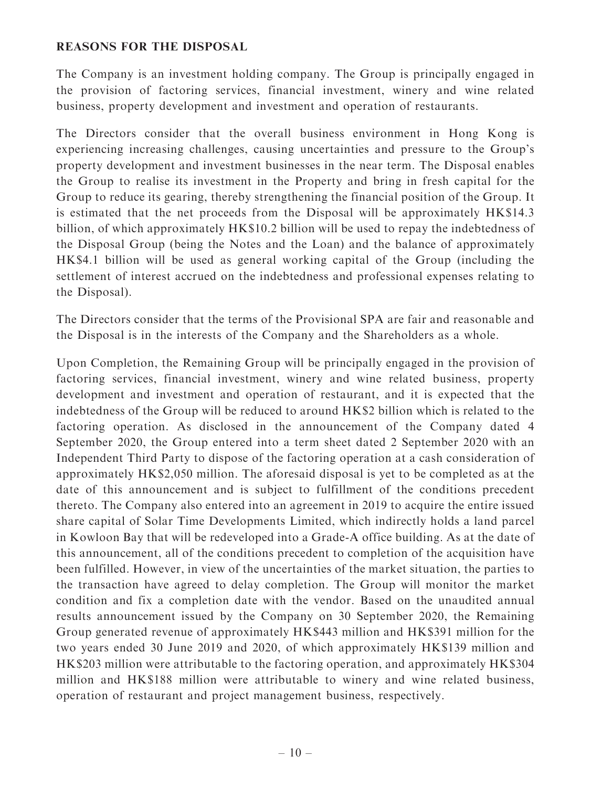#### REASONS FOR THE DISPOSAL

The Company is an investment holding company. The Group is principally engaged in the provision of factoring services, financial investment, winery and wine related business, property development and investment and operation of restaurants.

The Directors consider that the overall business environment in Hong Kong is experiencing increasing challenges, causing uncertainties and pressure to the Group's property development and investment businesses in the near term. The Disposal enables the Group to realise its investment in the Property and bring in fresh capital for the Group to reduce its gearing, thereby strengthening the financial position of the Group. It is estimated that the net proceeds from the Disposal will be approximately HK\$14.3 billion, of which approximately HK\$10.2 billion will be used to repay the indebtedness of the Disposal Group (being the Notes and the Loan) and the balance of approximately HK\$4.1 billion will be used as general working capital of the Group (including the settlement of interest accrued on the indebtedness and professional expenses relating to the Disposal).

The Directors consider that the terms of the Provisional SPA are fair and reasonable and the Disposal is in the interests of the Company and the Shareholders as a whole.

Upon Completion, the Remaining Group will be principally engaged in the provision of factoring services, financial investment, winery and wine related business, property development and investment and operation of restaurant, and it is expected that the indebtedness of the Group will be reduced to around HK\$2 billion which is related to the factoring operation. As disclosed in the announcement of the Company dated 4 September 2020, the Group entered into a term sheet dated 2 September 2020 with an Independent Third Party to dispose of the factoring operation at a cash consideration of approximately HK\$2,050 million. The aforesaid disposal is yet to be completed as at the date of this announcement and is subject to fulfillment of the conditions precedent thereto. The Company also entered into an agreement in 2019 to acquire the entire issued share capital of Solar Time Developments Limited, which indirectly holds a land parcel in Kowloon Bay that will be redeveloped into a Grade-A office building. As at the date of this announcement, all of the conditions precedent to completion of the acquisition have been fulfilled. However, in view of the uncertainties of the market situation, the parties to the transaction have agreed to delay completion. The Group will monitor the market condition and fix a completion date with the vendor. Based on the unaudited annual results announcement issued by the Company on 30 September 2020, the Remaining Group generated revenue of approximately HK\$443 million and HK\$391 million for the two years ended 30 June 2019 and 2020, of which approximately HK\$139 million and HK\$203 million were attributable to the factoring operation, and approximately HK\$304 million and HK\$188 million were attributable to winery and wine related business, operation of restaurant and project management business, respectively.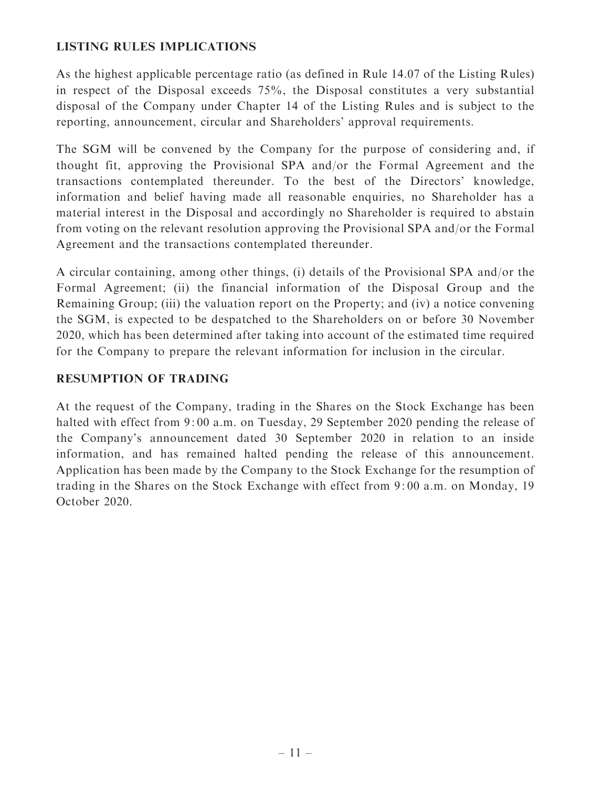## LISTING RULES IMPLICATIONS

As the highest applicable percentage ratio (as defined in Rule 14.07 of the Listing Rules) in respect of the Disposal exceeds 75%, the Disposal constitutes a very substantial disposal of the Company under Chapter 14 of the Listing Rules and is subject to the reporting, announcement, circular and Shareholders' approval requirements.

The SGM will be convened by the Company for the purpose of considering and, if thought fit, approving the Provisional SPA and/or the Formal Agreement and the transactions contemplated thereunder. To the best of the Directors' knowledge, information and belief having made all reasonable enquiries, no Shareholder has a material interest in the Disposal and accordingly no Shareholder is required to abstain from voting on the relevant resolution approving the Provisional SPA and/or the Formal Agreement and the transactions contemplated thereunder.

A circular containing, among other things, (i) details of the Provisional SPA and/or the Formal Agreement; (ii) the financial information of the Disposal Group and the Remaining Group; (iii) the valuation report on the Property; and (iv) a notice convening the SGM, is expected to be despatched to the Shareholders on or before 30 November 2020, which has been determined after taking into account of the estimated time required for the Company to prepare the relevant information for inclusion in the circular.

## RESUMPTION OF TRADING

At the request of the Company, trading in the Shares on the Stock Exchange has been halted with effect from 9:00 a.m. on Tuesday, 29 September 2020 pending the release of the Company's announcement dated 30 September 2020 in relation to an inside information, and has remained halted pending the release of this announcement. Application has been made by the Company to the Stock Exchange for the resumption of trading in the Shares on the Stock Exchange with effect from 9: 00 a.m. on Monday, 19 October 2020.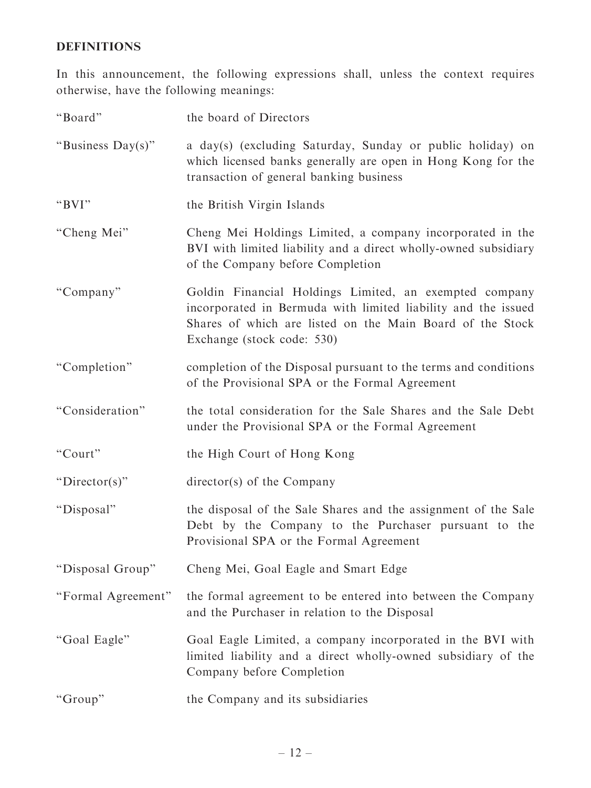## DEFINITIONS

In this announcement, the following expressions shall, unless the context requires otherwise, have the following meanings:

| "Board"            | the board of Directors                                                                                                                                                                                             |
|--------------------|--------------------------------------------------------------------------------------------------------------------------------------------------------------------------------------------------------------------|
| "Business Day(s)"  | a day(s) (excluding Saturday, Sunday or public holiday) on<br>which licensed banks generally are open in Hong Kong for the<br>transaction of general banking business                                              |
| "BVI"              | the British Virgin Islands                                                                                                                                                                                         |
| "Cheng Mei"        | Cheng Mei Holdings Limited, a company incorporated in the<br>BVI with limited liability and a direct wholly-owned subsidiary<br>of the Company before Completion                                                   |
| "Company"          | Goldin Financial Holdings Limited, an exempted company<br>incorporated in Bermuda with limited liability and the issued<br>Shares of which are listed on the Main Board of the Stock<br>Exchange (stock code: 530) |
| "Completion"       | completion of the Disposal pursuant to the terms and conditions<br>of the Provisional SPA or the Formal Agreement                                                                                                  |
| "Consideration"    | the total consideration for the Sale Shares and the Sale Debt<br>under the Provisional SPA or the Formal Agreement                                                                                                 |
| "Court"            | the High Court of Hong Kong                                                                                                                                                                                        |
| "Director(s)"      | director(s) of the Company                                                                                                                                                                                         |
| "Disposal"         | the disposal of the Sale Shares and the assignment of the Sale<br>Debt by the Company to the Purchaser pursuant to the<br>Provisional SPA or the Formal Agreement                                                  |
| "Disposal Group"   | Cheng Mei, Goal Eagle and Smart Edge                                                                                                                                                                               |
| "Formal Agreement" | the formal agreement to be entered into between the Company<br>and the Purchaser in relation to the Disposal                                                                                                       |
| "Goal Eagle"       | Goal Eagle Limited, a company incorporated in the BVI with<br>limited liability and a direct wholly-owned subsidiary of the<br>Company before Completion                                                           |
| "Group"            | the Company and its subsidiaries                                                                                                                                                                                   |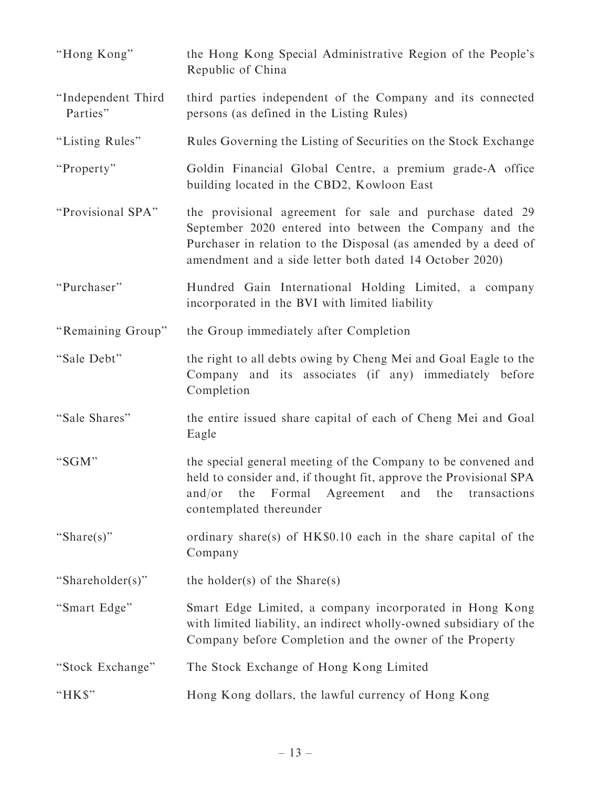| "Hong Kong"                    | the Hong Kong Special Administrative Region of the People's<br>Republic of China                                                                                                                                                                 |
|--------------------------------|--------------------------------------------------------------------------------------------------------------------------------------------------------------------------------------------------------------------------------------------------|
| "Independent Third<br>Parties" | third parties independent of the Company and its connected<br>persons (as defined in the Listing Rules)                                                                                                                                          |
| "Listing Rules"                | Rules Governing the Listing of Securities on the Stock Exchange                                                                                                                                                                                  |
| "Property"                     | Goldin Financial Global Centre, a premium grade-A office<br>building located in the CBD2, Kowloon East                                                                                                                                           |
| "Provisional SPA"              | the provisional agreement for sale and purchase dated 29<br>September 2020 entered into between the Company and the<br>Purchaser in relation to the Disposal (as amended by a deed of<br>amendment and a side letter both dated 14 October 2020) |
| "Purchaser"                    | Hundred Gain International Holding Limited, a company<br>incorporated in the BVI with limited liability                                                                                                                                          |
| "Remaining Group"              | the Group immediately after Completion                                                                                                                                                                                                           |
| "Sale Debt"                    | the right to all debts owing by Cheng Mei and Goal Eagle to the<br>Company and its associates (if any) immediately before<br>Completion                                                                                                          |
| "Sale Shares"                  | the entire issued share capital of each of Cheng Mei and Goal<br>Eagle                                                                                                                                                                           |
| "SGM"                          | the special general meeting of the Company to be convened and<br>held to consider and, if thought fit, approve the Provisional SPA<br>and/or<br>the<br>Formal<br>Agreement<br>and<br>the<br>transactions<br>contemplated thereunder              |
| "Share(s)"                     | ordinary share(s) of HK\$0.10 each in the share capital of the<br>Company                                                                                                                                                                        |
| "Shareholder(s)"               | the holder(s) of the Share(s)                                                                                                                                                                                                                    |
| "Smart Edge"                   | Smart Edge Limited, a company incorporated in Hong Kong<br>with limited liability, an indirect wholly-owned subsidiary of the<br>Company before Completion and the owner of the Property                                                         |
| "Stock Exchange"               | The Stock Exchange of Hong Kong Limited                                                                                                                                                                                                          |
| "HK\$"                         | Hong Kong dollars, the lawful currency of Hong Kong                                                                                                                                                                                              |